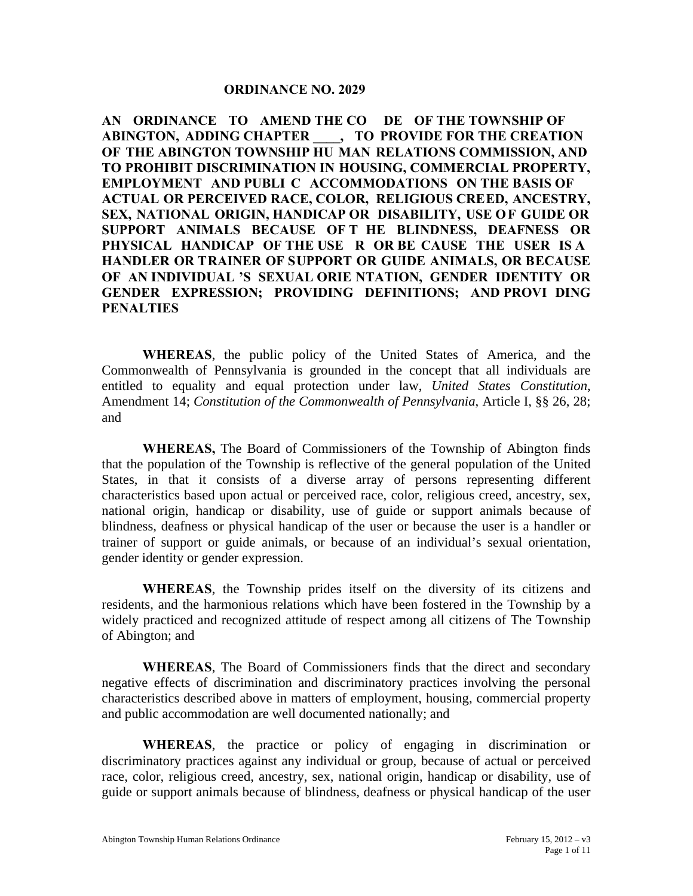#### **ORDINANCE NO. 2029**

**AN ORDINANCE TO AMEND THE CO DE OF THE TOWNSHIP OF ABINGTON, ADDING CHAPTER \_\_\_\_, TO PROVIDE FOR THE CREATION OF THE ABINGTON TOWNSHIP HU MAN RELATIONS COMMISSION, AND TO PROHIBIT DISCRIMINATION IN HOUSING, COMMERCIAL PROPERTY, EMPLOYMENT AND PUBLI C ACCOMMODATIONS ON THE BASIS OF ACTUAL OR PERCEIVED RACE, COLOR, RELIGIOUS CREED, ANCESTRY, SEX, NATIONAL ORIGIN, HANDICAP OR DISABILITY, USE OF GUIDE OR SUPPORT ANIMALS BECAUSE OF T HE BLINDNESS, DEAFNESS OR PHYSICAL HANDICAP OF THE USE R OR BE CAUSE THE USER IS A HANDLER OR TRAINER OF SUPPORT OR GUIDE ANIMALS, OR BECAUSE OF AN INDIVIDUAL 'S SEXUAL ORIE NTATION, GENDER IDENTITY OR GENDER EXPRESSION; PROVIDING DEFINITIONS; AND PROVI DING PENALTIES** 

**WHEREAS**, the public policy of the United States of America, and the Commonwealth of Pennsylvania is grounded in the concept that all individuals are entitled to equality and equal protection under law, *United States Constitution*, Amendment 14; *Constitution of the Commonwealth of Pennsylvania*, Article I, §§ 26, 28; and

**WHEREAS,** The Board of Commissioners of the Township of Abington finds that the population of the Township is reflective of the general population of the United States, in that it consists of a diverse array of persons representing different characteristics based upon actual or perceived race, color, religious creed, ancestry, sex, national origin, handicap or disability, use of guide or support animals because of blindness, deafness or physical handicap of the user or because the user is a handler or trainer of support or guide animals, or because of an individual's sexual orientation, gender identity or gender expression.

**WHEREAS**, the Township prides itself on the diversity of its citizens and residents, and the harmonious relations which have been fostered in the Township by a widely practiced and recognized attitude of respect among all citizens of The Township of Abington; and

**WHEREAS**, The Board of Commissioners finds that the direct and secondary negative effects of discrimination and discriminatory practices involving the personal characteristics described above in matters of employment, housing, commercial property and public accommodation are well documented nationally; and

**WHEREAS**, the practice or policy of engaging in discrimination or discriminatory practices against any individual or group, because of actual or perceived race, color, religious creed, ancestry, sex, national origin, handicap or disability, use of guide or support animals because of blindness, deafness or physical handicap of the user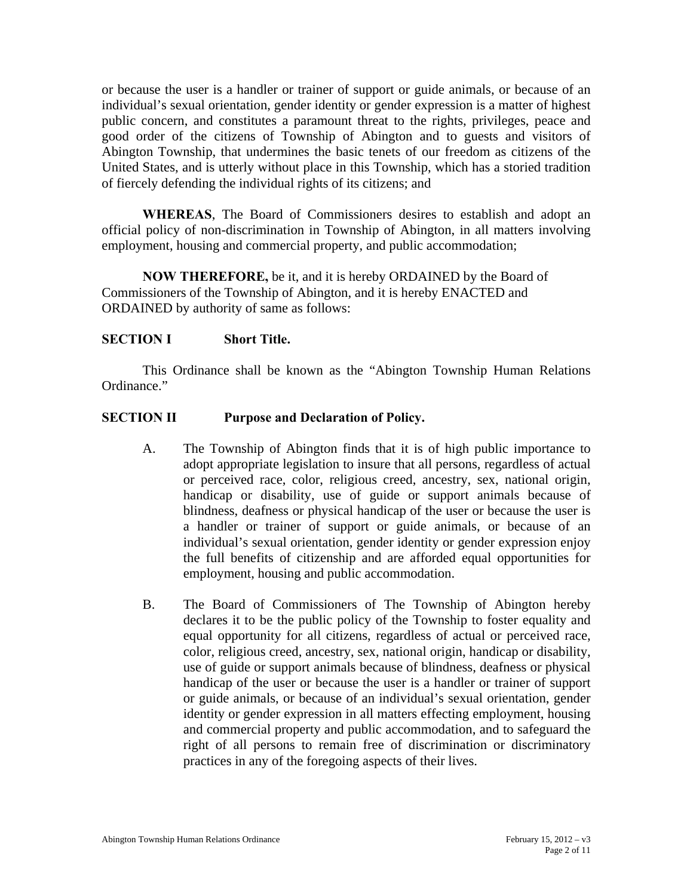or because the user is a handler or trainer of support or guide animals, or because of an individual's sexual orientation, gender identity or gender expression is a matter of highest public concern, and constitutes a paramount threat to the rights, privileges, peace and good order of the citizens of Township of Abington and to guests and visitors of Abington Township, that undermines the basic tenets of our freedom as citizens of the United States, and is utterly without place in this Township, which has a storied tradition of fiercely defending the individual rights of its citizens; and

**WHEREAS**, The Board of Commissioners desires to establish and adopt an official policy of non-discrimination in Township of Abington, in all matters involving employment, housing and commercial property, and public accommodation;

**NOW THEREFORE,** be it, and it is hereby ORDAINED by the Board of Commissioners of the Township of Abington, and it is hereby ENACTED and ORDAINED by authority of same as follows:

#### **SECTION I** Short Title.

 This Ordinance shall be known as the "Abington Township Human Relations Ordinance."

#### **SECTION II Purpose and Declaration of Policy.**

- A. The Township of Abington finds that it is of high public importance to adopt appropriate legislation to insure that all persons, regardless of actual or perceived race, color, religious creed, ancestry, sex, national origin, handicap or disability, use of guide or support animals because of blindness, deafness or physical handicap of the user or because the user is a handler or trainer of support or guide animals, or because of an individual's sexual orientation, gender identity or gender expression enjoy the full benefits of citizenship and are afforded equal opportunities for employment, housing and public accommodation.
- B. The Board of Commissioners of The Township of Abington hereby declares it to be the public policy of the Township to foster equality and equal opportunity for all citizens, regardless of actual or perceived race, color, religious creed, ancestry, sex, national origin, handicap or disability, use of guide or support animals because of blindness, deafness or physical handicap of the user or because the user is a handler or trainer of support or guide animals, or because of an individual's sexual orientation, gender identity or gender expression in all matters effecting employment, housing and commercial property and public accommodation, and to safeguard the right of all persons to remain free of discrimination or discriminatory practices in any of the foregoing aspects of their lives.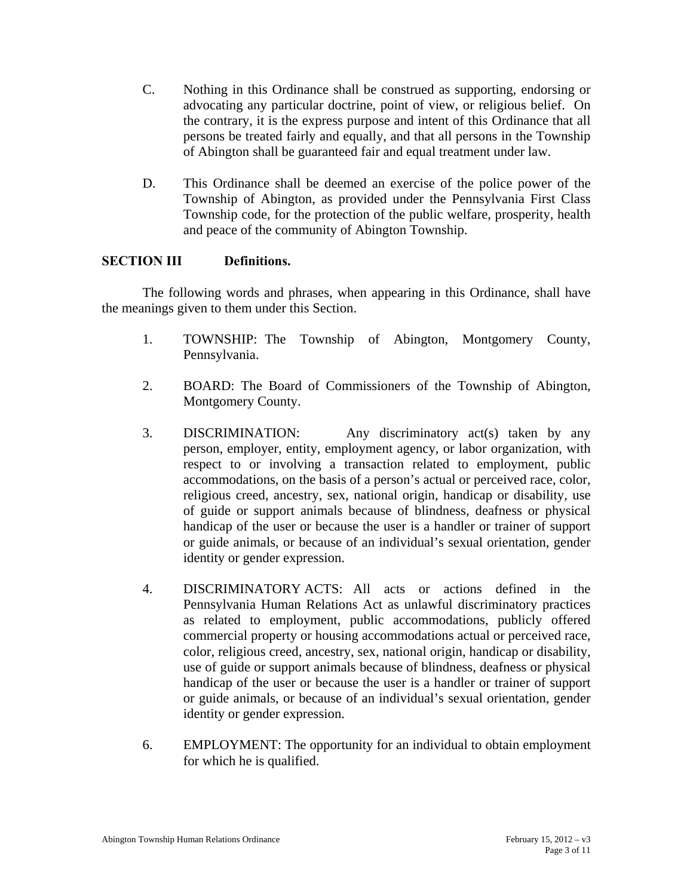- C. Nothing in this Ordinance shall be construed as supporting, endorsing or advocating any particular doctrine, point of view, or religious belief. On the contrary, it is the express purpose and intent of this Ordinance that all persons be treated fairly and equally, and that all persons in the Township of Abington shall be guaranteed fair and equal treatment under law.
- D. This Ordinance shall be deemed an exercise of the police power of the Township of Abington, as provided under the Pennsylvania First Class Township code, for the protection of the public welfare, prosperity, health and peace of the community of Abington Township.

## **SECTION III Definitions.**

 The following words and phrases, when appearing in this Ordinance, shall have the meanings given to them under this Section.

- 1. TOWNSHIP: The Township of Abington, Montgomery County, Pennsylvania.
- 2. BOARD: The Board of Commissioners of the Township of Abington, Montgomery County.
- 3. DISCRIMINATION: Any discriminatory act(s) taken by any person, employer, entity, employment agency, or labor organization, with respect to or involving a transaction related to employment, public accommodations, on the basis of a person's actual or perceived race, color, religious creed, ancestry, sex, national origin, handicap or disability, use of guide or support animals because of blindness, deafness or physical handicap of the user or because the user is a handler or trainer of support or guide animals, or because of an individual's sexual orientation, gender identity or gender expression.
- 4. DISCRIMINATORY ACTS: All acts or actions defined in the Pennsylvania Human Relations Act as unlawful discriminatory practices as related to employment, public accommodations, publicly offered commercial property or housing accommodations actual or perceived race, color, religious creed, ancestry, sex, national origin, handicap or disability, use of guide or support animals because of blindness, deafness or physical handicap of the user or because the user is a handler or trainer of support or guide animals, or because of an individual's sexual orientation, gender identity or gender expression.
- 6. EMPLOYMENT: The opportunity for an individual to obtain employment for which he is qualified.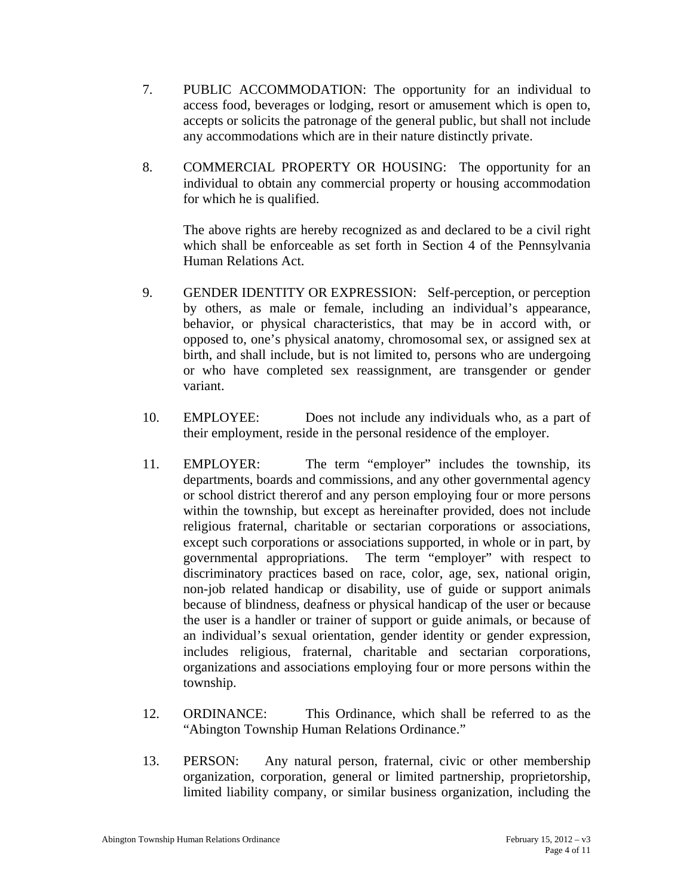- 7. PUBLIC ACCOMMODATION: The opportunity for an individual to access food, beverages or lodging, resort or amusement which is open to, accepts or solicits the patronage of the general public, but shall not include any accommodations which are in their nature distinctly private.
- 8. COMMERCIAL PROPERTY OR HOUSING: The opportunity for an individual to obtain any commercial property or housing accommodation for which he is qualified.

The above rights are hereby recognized as and declared to be a civil right which shall be enforceable as set forth in Section 4 of the Pennsylvania Human Relations Act.

- 9. GENDER IDENTITY OR EXPRESSION: Self-perception, or perception by others, as male or female, including an individual's appearance, behavior, or physical characteristics, that may be in accord with, or opposed to, one's physical anatomy, chromosomal sex, or assigned sex at birth, and shall include, but is not limited to, persons who are undergoing or who have completed sex reassignment, are transgender or gender variant.
- 10. EMPLOYEE: Does not include any individuals who, as a part of their employment, reside in the personal residence of the employer.
- 11. EMPLOYER: The term "employer" includes the township, its departments, boards and commissions, and any other governmental agency or school district thererof and any person employing four or more persons within the township, but except as hereinafter provided, does not include religious fraternal, charitable or sectarian corporations or associations, except such corporations or associations supported, in whole or in part, by governmental appropriations. The term "employer" with respect to discriminatory practices based on race, color, age, sex, national origin, non-job related handicap or disability, use of guide or support animals because of blindness, deafness or physical handicap of the user or because the user is a handler or trainer of support or guide animals, or because of an individual's sexual orientation, gender identity or gender expression, includes religious, fraternal, charitable and sectarian corporations, organizations and associations employing four or more persons within the township.
- 12. ORDINANCE: This Ordinance, which shall be referred to as the "Abington Township Human Relations Ordinance."
- 13. PERSON: Any natural person, fraternal, civic or other membership organization, corporation, general or limited partnership, proprietorship, limited liability company, or similar business organization, including the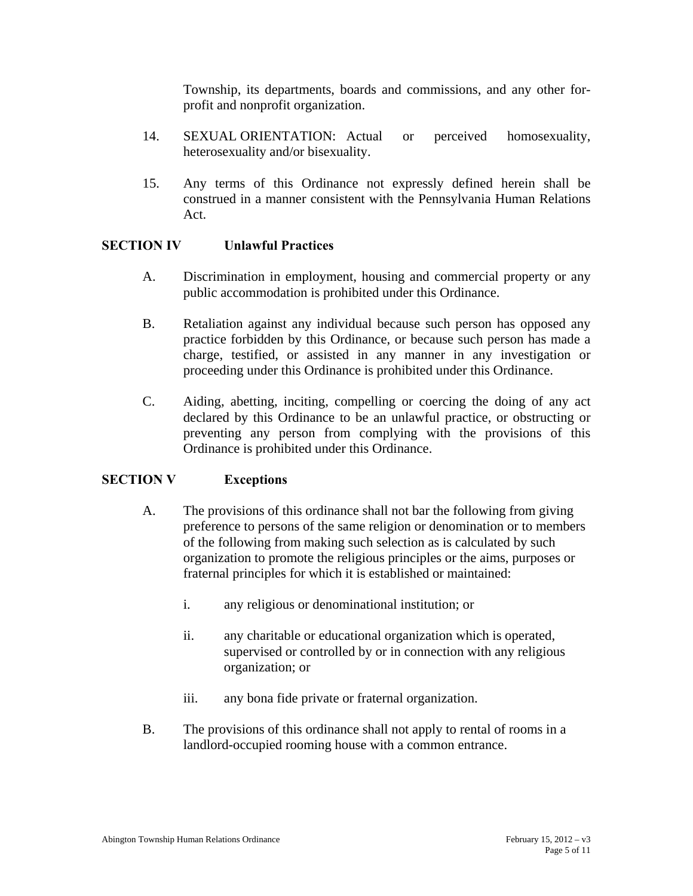Township, its departments, boards and commissions, and any other forprofit and nonprofit organization.

- 14. SEXUAL ORIENTATION: Actual or perceived homosexuality, heterosexuality and/or bisexuality.
- 15. Any terms of this Ordinance not expressly defined herein shall be construed in a manner consistent with the Pennsylvania Human Relations Act.

## **SECTION IV Unlawful Practices**

- A. Discrimination in employment, housing and commercial property or any public accommodation is prohibited under this Ordinance.
- B. Retaliation against any individual because such person has opposed any practice forbidden by this Ordinance, or because such person has made a charge, testified, or assisted in any manner in any investigation or proceeding under this Ordinance is prohibited under this Ordinance.
- C. Aiding, abetting, inciting, compelling or coercing the doing of any act declared by this Ordinance to be an unlawful practice, or obstructing or preventing any person from complying with the provisions of this Ordinance is prohibited under this Ordinance.

#### **SECTION V Exceptions**

- A. The provisions of this ordinance shall not bar the following from giving preference to persons of the same religion or denomination or to members of the following from making such selection as is calculated by such organization to promote the religious principles or the aims, purposes or fraternal principles for which it is established or maintained:
	- i. any religious or denominational institution; or
	- ii. any charitable or educational organization which is operated, supervised or controlled by or in connection with any religious organization; or
	- iii. any bona fide private or fraternal organization.
- B. The provisions of this ordinance shall not apply to rental of rooms in a landlord-occupied rooming house with a common entrance.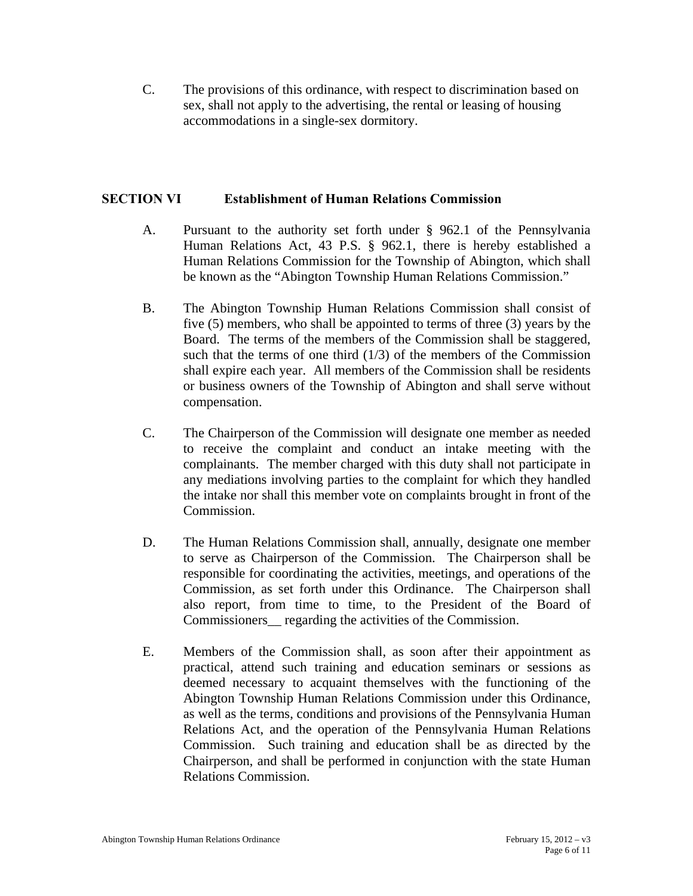C. The provisions of this ordinance, with respect to discrimination based on sex, shall not apply to the advertising, the rental or leasing of housing accommodations in a single-sex dormitory.

#### **SECTION VI Establishment of Human Relations Commission**

- A. Pursuant to the authority set forth under § 962.1 of the Pennsylvania Human Relations Act, 43 P.S. § 962.1, there is hereby established a Human Relations Commission for the Township of Abington, which shall be known as the "Abington Township Human Relations Commission."
- B. The Abington Township Human Relations Commission shall consist of five (5) members, who shall be appointed to terms of three (3) years by the Board. The terms of the members of the Commission shall be staggered, such that the terms of one third  $(1/3)$  of the members of the Commission shall expire each year. All members of the Commission shall be residents or business owners of the Township of Abington and shall serve without compensation.
- C. The Chairperson of the Commission will designate one member as needed to receive the complaint and conduct an intake meeting with the complainants. The member charged with this duty shall not participate in any mediations involving parties to the complaint for which they handled the intake nor shall this member vote on complaints brought in front of the Commission.
- D. The Human Relations Commission shall, annually, designate one member to serve as Chairperson of the Commission. The Chairperson shall be responsible for coordinating the activities, meetings, and operations of the Commission, as set forth under this Ordinance. The Chairperson shall also report, from time to time, to the President of the Board of Commissioners\_\_ regarding the activities of the Commission.
- E. Members of the Commission shall, as soon after their appointment as practical, attend such training and education seminars or sessions as deemed necessary to acquaint themselves with the functioning of the Abington Township Human Relations Commission under this Ordinance, as well as the terms, conditions and provisions of the Pennsylvania Human Relations Act, and the operation of the Pennsylvania Human Relations Commission. Such training and education shall be as directed by the Chairperson, and shall be performed in conjunction with the state Human Relations Commission.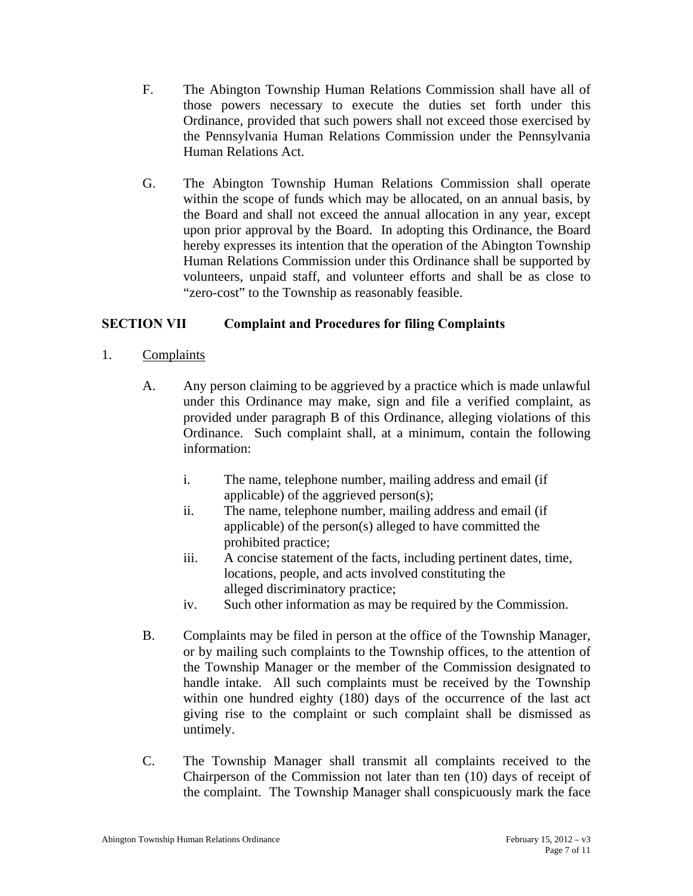- F. The Abington Township Human Relations Commission shall have all of those powers necessary to execute the duties set forth under this Ordinance, provided that such powers shall not exceed those exercised by the Pennsylvania Human Relations Commission under the Pennsylvania Human Relations Act.
- G. The Abington Township Human Relations Commission shall operate within the scope of funds which may be allocated, on an annual basis, by the Board and shall not exceed the annual allocation in any year, except upon prior approval by the Board. In adopting this Ordinance, the Board hereby expresses its intention that the operation of the Abington Township Human Relations Commission under this Ordinance shall be supported by volunteers, unpaid staff, and volunteer efforts and shall be as close to "zero-cost" to the Township as reasonably feasible.

## **SECTION VII Complaint and Procedures for filing Complaints**

- 1. Complaints
	- A. Any person claiming to be aggrieved by a practice which is made unlawful under this Ordinance may make, sign and file a verified complaint, as provided under paragraph B of this Ordinance, alleging violations of this Ordinance. Such complaint shall, at a minimum, contain the following information:
		- i. The name, telephone number, mailing address and email (if applicable) of the aggrieved person(s);
		- ii. The name, telephone number, mailing address and email (if applicable) of the person(s) alleged to have committed the prohibited practice;
		- iii. A concise statement of the facts, including pertinent dates, time, locations, people, and acts involved constituting the alleged discriminatory practice;
		- iv. Such other information as may be required by the Commission.
	- B. Complaints may be filed in person at the office of the Township Manager, or by mailing such complaints to the Township offices, to the attention of the Township Manager or the member of the Commission designated to handle intake. All such complaints must be received by the Township within one hundred eighty (180) days of the occurrence of the last act giving rise to the complaint or such complaint shall be dismissed as untimely.
	- C. The Township Manager shall transmit all complaints received to the Chairperson of the Commission not later than ten (10) days of receipt of the complaint. The Township Manager shall conspicuously mark the face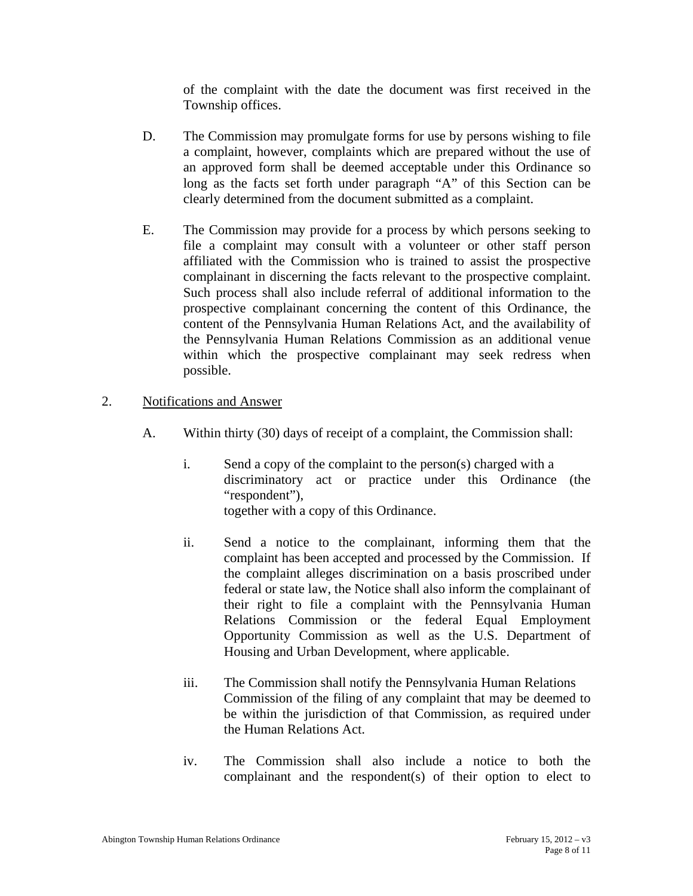of the complaint with the date the document was first received in the Township offices.

- D. The Commission may promulgate forms for use by persons wishing to file a complaint, however, complaints which are prepared without the use of an approved form shall be deemed acceptable under this Ordinance so long as the facts set forth under paragraph "A" of this Section can be clearly determined from the document submitted as a complaint.
- E. The Commission may provide for a process by which persons seeking to file a complaint may consult with a volunteer or other staff person affiliated with the Commission who is trained to assist the prospective complainant in discerning the facts relevant to the prospective complaint. Such process shall also include referral of additional information to the prospective complainant concerning the content of this Ordinance, the content of the Pennsylvania Human Relations Act, and the availability of the Pennsylvania Human Relations Commission as an additional venue within which the prospective complainant may seek redress when possible.
- 2. Notifications and Answer
	- A. Within thirty (30) days of receipt of a complaint, the Commission shall:
		- i. Send a copy of the complaint to the person(s) charged with a discriminatory act or practice under this Ordinance (the "respondent"), together with a copy of this Ordinance.
		- ii. Send a notice to the complainant, informing them that the complaint has been accepted and processed by the Commission. If the complaint alleges discrimination on a basis proscribed under federal or state law, the Notice shall also inform the complainant of their right to file a complaint with the Pennsylvania Human Relations Commission or the federal Equal Employment Opportunity Commission as well as the U.S. Department of Housing and Urban Development, where applicable.
		- iii. The Commission shall notify the Pennsylvania Human Relations Commission of the filing of any complaint that may be deemed to be within the jurisdiction of that Commission, as required under the Human Relations Act.
		- iv. The Commission shall also include a notice to both the complainant and the respondent(s) of their option to elect to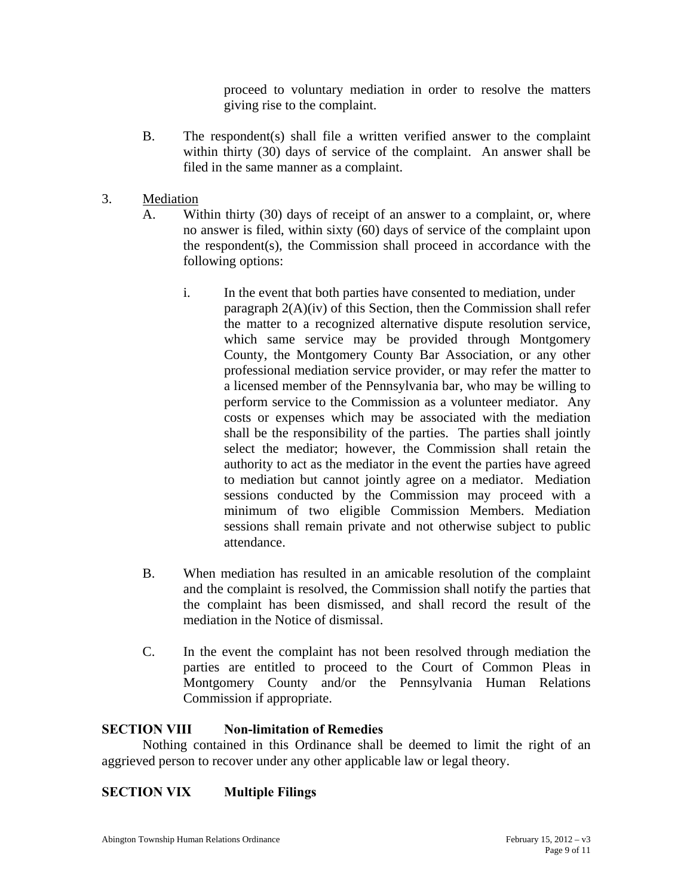proceed to voluntary mediation in order to resolve the matters giving rise to the complaint.

- B. The respondent(s) shall file a written verified answer to the complaint within thirty (30) days of service of the complaint. An answer shall be filed in the same manner as a complaint.
- 3. Mediation
	- A. Within thirty (30) days of receipt of an answer to a complaint, or, where no answer is filed, within sixty (60) days of service of the complaint upon the respondent(s), the Commission shall proceed in accordance with the following options:
		- i. In the event that both parties have consented to mediation, under paragraph 2(A)(iv) of this Section, then the Commission shall refer the matter to a recognized alternative dispute resolution service, which same service may be provided through Montgomery County, the Montgomery County Bar Association, or any other professional mediation service provider, or may refer the matter to a licensed member of the Pennsylvania bar, who may be willing to perform service to the Commission as a volunteer mediator. Any costs or expenses which may be associated with the mediation shall be the responsibility of the parties. The parties shall jointly select the mediator; however, the Commission shall retain the authority to act as the mediator in the event the parties have agreed to mediation but cannot jointly agree on a mediator. Mediation sessions conducted by the Commission may proceed with a minimum of two eligible Commission Members. Mediation sessions shall remain private and not otherwise subject to public attendance.
	- B. When mediation has resulted in an amicable resolution of the complaint and the complaint is resolved, the Commission shall notify the parties that the complaint has been dismissed, and shall record the result of the mediation in the Notice of dismissal.
	- C. In the event the complaint has not been resolved through mediation the parties are entitled to proceed to the Court of Common Pleas in Montgomery County and/or the Pennsylvania Human Relations Commission if appropriate.

## **SECTION VIII Non-limitation of Remedies**

 Nothing contained in this Ordinance shall be deemed to limit the right of an aggrieved person to recover under any other applicable law or legal theory.

# **SECTION VIX Multiple Filings**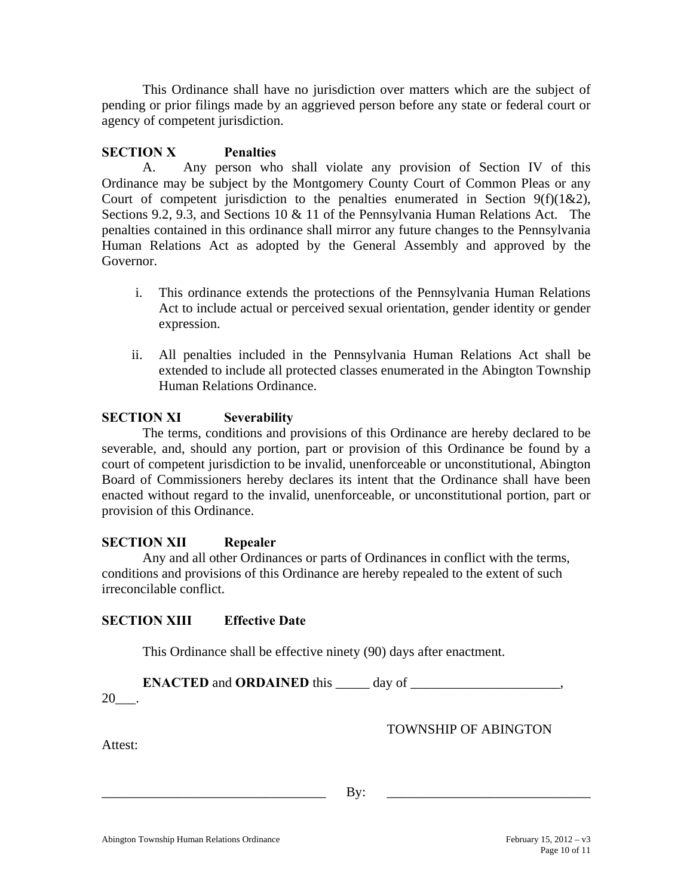This Ordinance shall have no jurisdiction over matters which are the subject of pending or prior filings made by an aggrieved person before any state or federal court or agency of competent jurisdiction.

#### **SECTION X Penalties**

 A. Any person who shall violate any provision of Section IV of this Ordinance may be subject by the Montgomery County Court of Common Pleas or any Court of competent jurisdiction to the penalties enumerated in Section  $9(f)(1&2)$ , Sections 9.2, 9.3, and Sections 10 & 11 of the Pennsylvania Human Relations Act. The penalties contained in this ordinance shall mirror any future changes to the Pennsylvania Human Relations Act as adopted by the General Assembly and approved by the Governor.

- i. This ordinance extends the protections of the Pennsylvania Human Relations Act to include actual or perceived sexual orientation, gender identity or gender expression.
- ii. All penalties included in the Pennsylvania Human Relations Act shall be extended to include all protected classes enumerated in the Abington Township Human Relations Ordinance.

## **SECTION XI Severability**

The terms, conditions and provisions of this Ordinance are hereby declared to be severable, and, should any portion, part or provision of this Ordinance be found by a court of competent jurisdiction to be invalid, unenforceable or unconstitutional, Abington Board of Commissioners hereby declares its intent that the Ordinance shall have been enacted without regard to the invalid, unenforceable, or unconstitutional portion, part or provision of this Ordinance.

## **SECTION XII Repealer**

Any and all other Ordinances or parts of Ordinances in conflict with the terms, conditions and provisions of this Ordinance are hereby repealed to the extent of such irreconcilable conflict.

#### **SECTION XIII Effective Date**

This Ordinance shall be effective ninety (90) days after enactment.

 **ENACTED** and **ORDAINED** this \_\_\_\_\_ day of \_\_\_\_\_\_\_\_\_\_\_\_\_\_\_\_\_\_\_\_\_\_,

20\_\_\_.

TOWNSHIP OF ABINGTON

Attest:

\_\_\_\_\_\_\_\_\_\_\_\_\_\_\_\_\_\_\_\_\_\_\_\_\_\_\_\_\_\_\_\_\_ By: \_\_\_\_\_\_\_\_\_\_\_\_\_\_\_\_\_\_\_\_\_\_\_\_\_\_\_\_\_\_